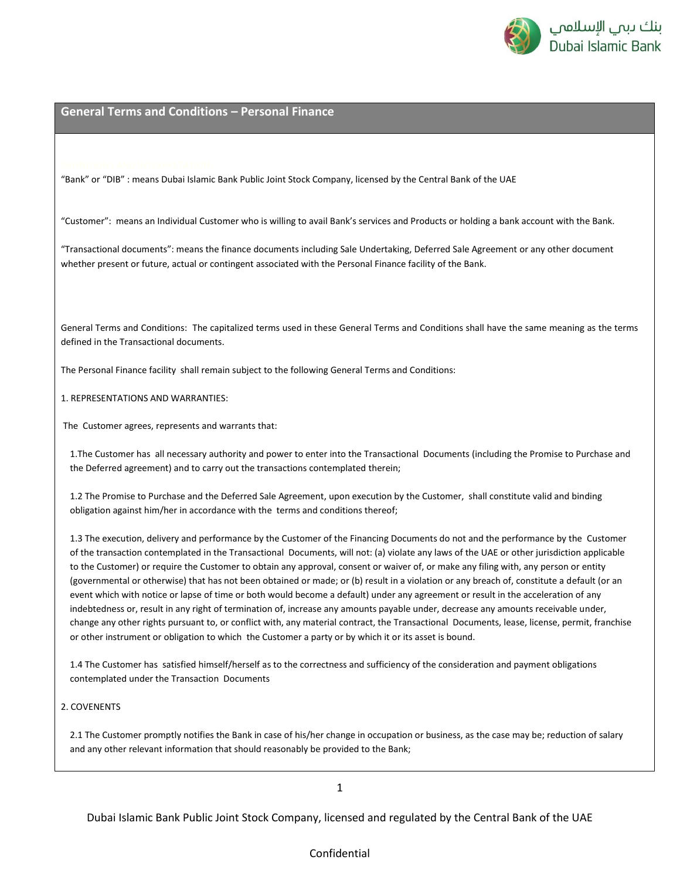

"Bank" or "DIB" : means Dubai Islamic Bank Public Joint Stock Company, licensed by the Central Bank of the UAE

"Customer": means an Individual Customer who is willing to avail Bank's services and Products or holding a bank account with the Bank.

"Transactional documents": means the finance documents including Sale Undertaking, Deferred Sale Agreement or any other document whether present or future, actual or contingent associated with the Personal Finance facility of the Bank.

General Terms and Conditions: The capitalized terms used in these General Terms and Conditions shall have the same meaning as the terms defined in the Transactional documents.

The Personal Finance facility shall remain subject to the following General Terms and Conditions:

1. REPRESENTATIONS AND WARRANTIES:

The Customer agrees, represents and warrants that:

1.The Customer has all necessary authority and power to enter into the Transactional Documents (including the Promise to Purchase and the Deferred agreement) and to carry out the transactions contemplated therein;

1.2 The Promise to Purchase and the Deferred Sale Agreement, upon execution by the Customer, shall constitute valid and binding obligation against him/her in accordance with the terms and conditions thereof;

1.3 The execution, delivery and performance by the Customer of the Financing Documents do not and the performance by the Customer of the transaction contemplated in the Transactional Documents, will not: (a) violate any laws of the UAE or other jurisdiction applicable to the Customer) or require the Customer to obtain any approval, consent or waiver of, or make any filing with, any person or entity (governmental or otherwise) that has not been obtained or made; or (b) result in a violation or any breach of, constitute a default (or an event which with notice or lapse of time or both would become a default) under any agreement or result in the acceleration of any indebtedness or, result in any right of termination of, increase any amounts payable under, decrease any amounts receivable under, change any other rights pursuant to, or conflict with, any material contract, the Transactional Documents, lease, license, permit, franchise or other instrument or obligation to which the Customer a party or by which it or its asset is bound.

1.4 The Customer has satisfied himself/herself as to the correctness and sufficiency of the consideration and payment obligations contemplated under the Transaction Documents

#### 2. COVENENTS

2.1 The Customer promptly notifies the Bank in case of his/her change in occupation or business, as the case may be; reduction of salary and any other relevant information that should reasonably be provided to the Bank;

1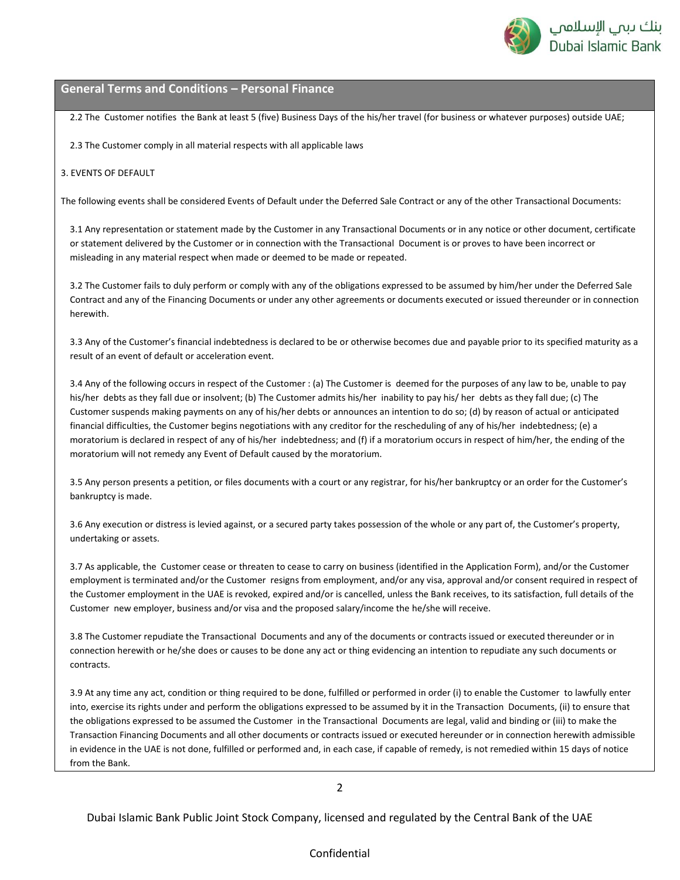

2.2 The Customer notifies the Bank at least 5 (five) Business Days of the his/her travel (for business or whatever purposes) outside UAE;

2.3 The Customer comply in all material respects with all applicable laws

#### 3. EVENTS OF DEFAULT

The following events shall be considered Events of Default under the Deferred Sale Contract or any of the other Transactional Documents:

3.1 Any representation or statement made by the Customer in any Transactional Documents or in any notice or other document, certificate or statement delivered by the Customer or in connection with the Transactional Document is or proves to have been incorrect or misleading in any material respect when made or deemed to be made or repeated.

3.2 The Customer fails to duly perform or comply with any of the obligations expressed to be assumed by him/her under the Deferred Sale Contract and any of the Financing Documents or under any other agreements or documents executed or issued thereunder or in connection herewith.

3.3 Any of the Customer's financial indebtedness is declared to be or otherwise becomes due and payable prior to its specified maturity as a result of an event of default or acceleration event.

3.4 Any of the following occurs in respect of the Customer : (a) The Customer is deemed for the purposes of any law to be, unable to pay his/her debts as they fall due or insolvent; (b) The Customer admits his/her inability to pay his/ her debts as they fall due; (c) The Customer suspends making payments on any of his/her debts or announces an intention to do so; (d) by reason of actual or anticipated financial difficulties, the Customer begins negotiations with any creditor for the rescheduling of any of his/her indebtedness; (e) a moratorium is declared in respect of any of his/her indebtedness; and (f) if a moratorium occurs in respect of him/her, the ending of the moratorium will not remedy any Event of Default caused by the moratorium.

3.5 Any person presents a petition, or files documents with a court or any registrar, for his/her bankruptcy or an order for the Customer's bankruptcy is made.

3.6 Any execution or distress is levied against, or a secured party takes possession of the whole or any part of, the Customer's property, undertaking or assets.

3.7 As applicable, the Customer cease or threaten to cease to carry on business (identified in the Application Form), and/or the Customer employment is terminated and/or the Customer resigns from employment, and/or any visa, approval and/or consent required in respect of the Customer employment in the UAE is revoked, expired and/or is cancelled, unless the Bank receives, to its satisfaction, full details of the Customer new employer, business and/or visa and the proposed salary/income the he/she will receive.

3.8 The Customer repudiate the Transactional Documents and any of the documents or contracts issued or executed thereunder or in connection herewith or he/she does or causes to be done any act or thing evidencing an intention to repudiate any such documents or contracts.

3.9 At any time any act, condition or thing required to be done, fulfilled or performed in order (i) to enable the Customer to lawfully enter into, exercise its rights under and perform the obligations expressed to be assumed by it in the Transaction Documents, (ii) to ensure that the obligations expressed to be assumed the Customer in the Transactional Documents are legal, valid and binding or (iii) to make the Transaction Financing Documents and all other documents or contracts issued or executed hereunder or in connection herewith admissible in evidence in the UAE is not done, fulfilled or performed and, in each case, if capable of remedy, is not remedied within 15 days of notice from the Bank.

2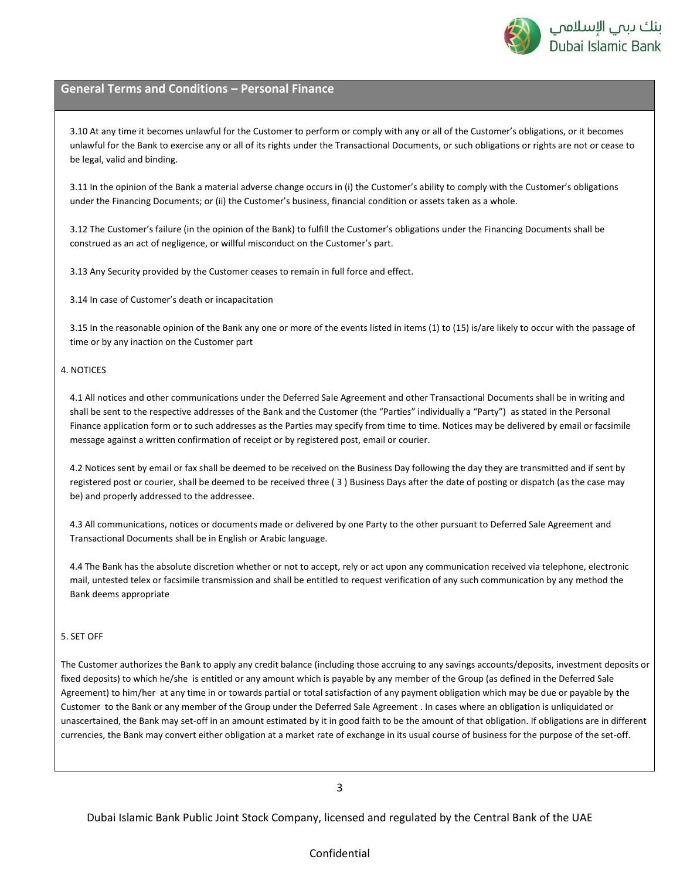

3.10 At any time it becomes unlawful for the Customer to perform or comply with any or all of the Customer's obligations, or it becomes unlawful for the Bank to exercise any or all of its rights under the Transactional Documents, or such obligations or rights are not or cease to be legal, valid and binding.

3.11 In the opinion of the Bank a material adverse change occurs in (i) the Customer's ability to comply with the Customer's obligations under the Financing Documents; or (ii) the Customer's business, financial condition or assets taken as a whole.

3.12 The Customer's failure (in the opinion of the Bank) to fulfill the Customer's obligations under the Financing Documents shall be construed as an act of negligence, or willful misconduct on the Customer's part.

3.13 Any Security provided by the Customer ceases to remain in full force and effect.

3.14 In case of Customer's death or incapacitation

3.15 In the reasonable opinion of the Bank any one or more of the events listed in items (1) to (15) is/are likely to occur with the passage of time or by any inaction on the Customer part

#### 4. NOTICES

4.1 All notices and other communications under the Deferred Sale Agreement and other Transactional Documents shall be in writing and shall be sent to the respective addresses of the Bank and the Customer (the "Parties" individually a "Party") as stated in the Personal Finance application form or to such addresses as the Parties may specify from time to time. Notices may be delivered by email or facsimile message against a written confirmation of receipt or by registered post, email or courier.

4.2 Notices sent by email or fax shall be deemed to be received on the Business Day following the day they are transmitted and if sent by registered post or courier, shall be deemed to be received three ( 3 ) Business Days after the date of posting or dispatch (as the case may be) and properly addressed to the addressee.

4.3 All communications, notices or documents made or delivered by one Party to the other pursuant to Deferred Sale Agreement and Transactional Documents shall be in English or Arabic language.

4.4 The Bank has the absolute discretion whether or not to accept, rely or act upon any communication received via telephone, electronic mail, untested telex or facsimile transmission and shall be entitled to request verification of any such communication by any method the Bank deems appropriate

### 5. SET OFF

The Customer authorizes the Bank to apply any credit balance (including those accruing to any savings accounts/deposits, investment deposits or fixed deposits) to which he/she is entitled or any amount which is payable by any member of the Group (as defined in the Deferred Sale Agreement) to him/her at any time in or towards partial or total satisfaction of any payment obligation which may be due or payable by the Customer to the Bank or any member of the Group under the Deferred Sale Agreement . In cases where an obligation is unliquidated or unascertained, the Bank may set-off in an amount estimated by it in good faith to be the amount of that obligation. If obligations are in different currencies, the Bank may convert either obligation at a market rate of exchange in its usual course of business for the purpose of the set-off.

3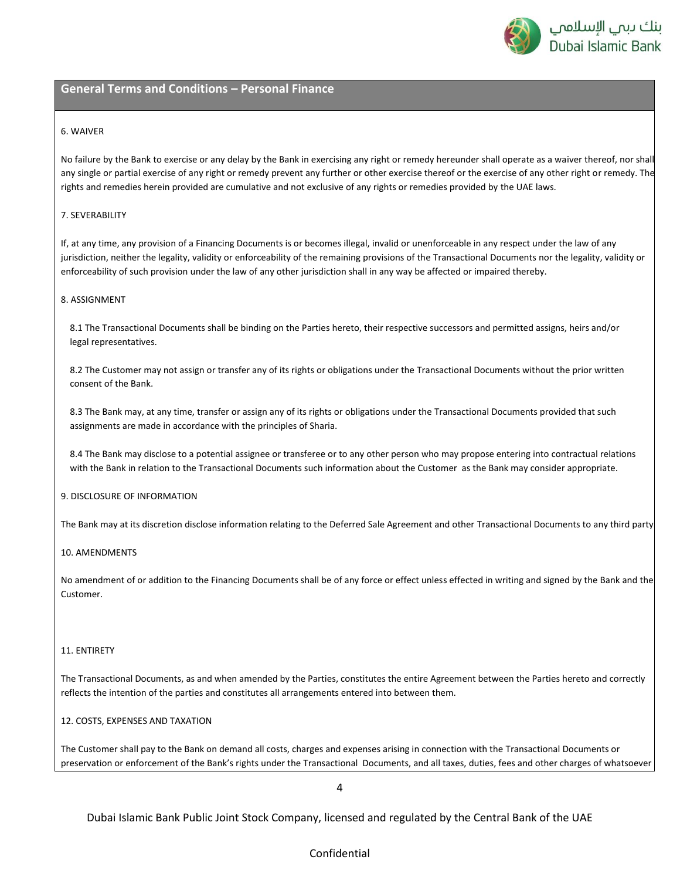

#### 6. WAIVER

No failure by the Bank to exercise or any delay by the Bank in exercising any right or remedy hereunder shall operate as a waiver thereof, nor shall any single or partial exercise of any right or remedy prevent any further or other exercise thereof or the exercise of any other right or remedy. The rights and remedies herein provided are cumulative and not exclusive of any rights or remedies provided by the UAE laws.

#### 7. SEVERABILITY

If, at any time, any provision of a Financing Documents is or becomes illegal, invalid or unenforceable in any respect under the law of any jurisdiction, neither the legality, validity or enforceability of the remaining provisions of the Transactional Documents nor the legality, validity or enforceability of such provision under the law of any other jurisdiction shall in any way be affected or impaired thereby.

### 8. ASSIGNMENT

8.1 The Transactional Documents shall be binding on the Parties hereto, their respective successors and permitted assigns, heirs and/or legal representatives.

8.2 The Customer may not assign or transfer any of its rights or obligations under the Transactional Documents without the prior written consent of the Bank.

8.3 The Bank may, at any time, transfer or assign any of its rights or obligations under the Transactional Documents provided that such assignments are made in accordance with the principles of Sharia.

8.4 The Bank may disclose to a potential assignee or transferee or to any other person who may propose entering into contractual relations with the Bank in relation to the Transactional Documents such information about the Customer as the Bank may consider appropriate.

#### 9. DISCLOSURE OF INFORMATION

The Bank may at its discretion disclose information relating to the Deferred Sale Agreement and other Transactional Documents to any third party.

#### 10. AMENDMENTS

No amendment of or addition to the Financing Documents shall be of any force or effect unless effected in writing and signed by the Bank and the Customer.

#### 11. ENTIRETY

The Transactional Documents, as and when amended by the Parties, constitutes the entire Agreement between the Parties hereto and correctly reflects the intention of the parties and constitutes all arrangements entered into between them.

#### 12. COSTS, EXPENSES AND TAXATION

The Customer shall pay to the Bank on demand all costs, charges and expenses arising in connection with the Transactional Documents or preservation or enforcement of the Bank's rights under the Transactional Documents, and all taxes, duties, fees and other charges of whatsoever

4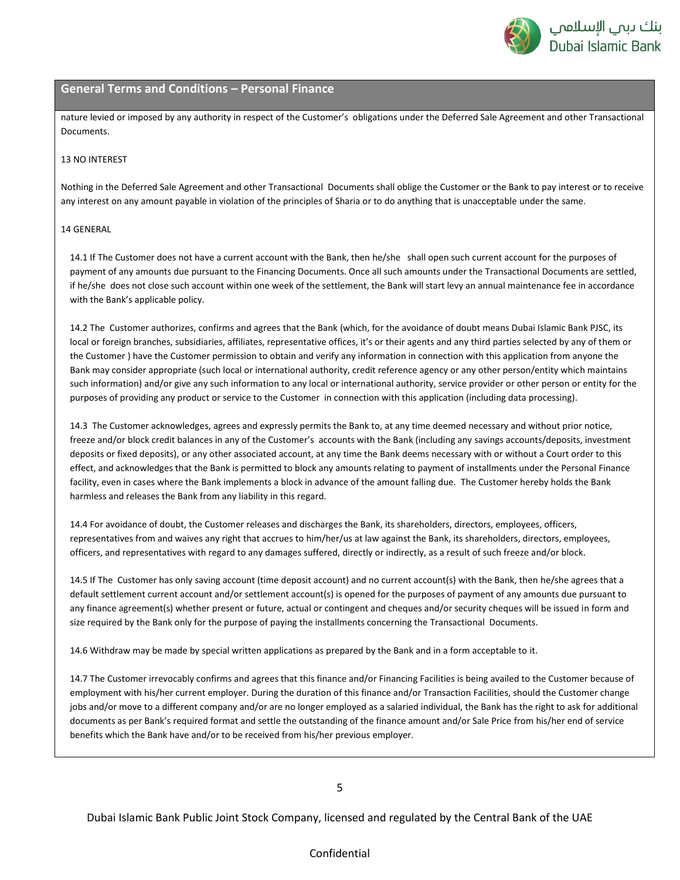

nature levied or imposed by any authority in respect of the Customer's obligations under the Deferred Sale Agreement and other Transactional Documents.

#### 13 NO INTEREST

Nothing in the Deferred Sale Agreement and other Transactional Documents shall oblige the Customer or the Bank to pay interest or to receive any interest on any amount payable in violation of the principles of Sharia or to do anything that is unacceptable under the same.

#### 14 GENERAL

14.1 If The Customer does not have a current account with the Bank, then he/she shall open such current account for the purposes of payment of any amounts due pursuant to the Financing Documents. Once all such amounts under the Transactional Documents are settled, if he/she does not close such account within one week of the settlement, the Bank will start levy an annual maintenance fee in accordance with the Bank's applicable policy.

14.2 The Customer authorizes, confirms and agrees that the Bank (which, for the avoidance of doubt means Dubai Islamic Bank PJSC, its local or foreign branches, subsidiaries, affiliates, representative offices, it's or their agents and any third parties selected by any of them or the Customer ) have the Customer permission to obtain and verify any information in connection with this application from anyone the Bank may consider appropriate (such local or international authority, credit reference agency or any other person/entity which maintains such information) and/or give any such information to any local or international authority, service provider or other person or entity for the purposes of providing any product or service to the Customer in connection with this application (including data processing).

14.3 The Customer acknowledges, agrees and expressly permits the Bank to, at any time deemed necessary and without prior notice, freeze and/or block credit balances in any of the Customer's accounts with the Bank (including any savings accounts/deposits, investment deposits or fixed deposits), or any other associated account, at any time the Bank deems necessary with or without a Court order to this effect, and acknowledges that the Bank is permitted to block any amounts relating to payment of installments under the Personal Finance facility, even in cases where the Bank implements a block in advance of the amount falling due. The Customer hereby holds the Bank harmless and releases the Bank from any liability in this regard.

14.4 For avoidance of doubt, the Customer releases and discharges the Bank, its shareholders, directors, employees, officers, representatives from and waives any right that accrues to him/her/us at law against the Bank, its shareholders, directors, employees, officers, and representatives with regard to any damages suffered, directly or indirectly, as a result of such freeze and/or block.

14.5 If The Customer has only saving account (time deposit account) and no current account(s) with the Bank, then he/she agrees that a default settlement current account and/or settlement account(s) is opened for the purposes of payment of any amounts due pursuant to any finance agreement(s) whether present or future, actual or contingent and cheques and/or security cheques will be issued in form and size required by the Bank only for the purpose of paying the installments concerning the Transactional Documents.

14.6 Withdraw may be made by special written applications as prepared by the Bank and in a form acceptable to it.

14.7 The Customer irrevocably confirms and agrees that this finance and/or Financing Facilities is being availed to the Customer because of employment with his/her current employer. During the duration of this finance and/or Transaction Facilities, should the Customer change jobs and/or move to a different company and/or are no longer employed as a salaried individual, the Bank has the right to ask for additional documents as per Bank's required format and settle the outstanding of the finance amount and/or Sale Price from his/her end of service benefits which the Bank have and/or to be received from his/her previous employer.

5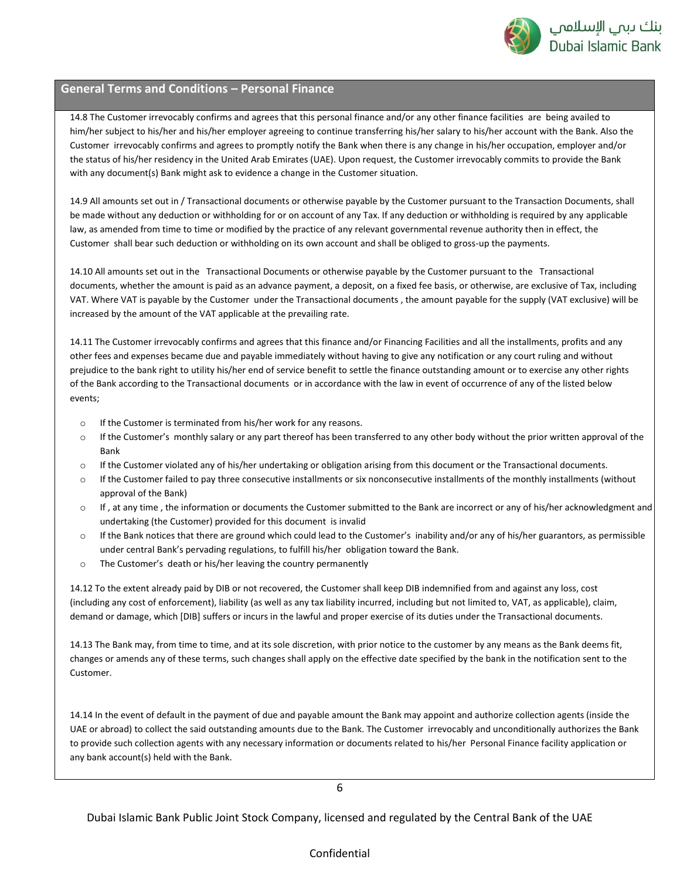

14.8 The Customer irrevocably confirms and agrees that this personal finance and/or any other finance facilities are being availed to him/her subject to his/her and his/her employer agreeing to continue transferring his/her salary to his/her account with the Bank. Also the Customer irrevocably confirms and agrees to promptly notify the Bank when there is any change in his/her occupation, employer and/or the status of his/her residency in the United Arab Emirates (UAE). Upon request, the Customer irrevocably commits to provide the Bank with any document(s) Bank might ask to evidence a change in the Customer situation.

14.9 All amounts set out in / Transactional documents or otherwise payable by the Customer pursuant to the Transaction Documents, shall be made without any deduction or withholding for or on account of any Tax. If any deduction or withholding is required by any applicable law, as amended from time to time or modified by the practice of any relevant governmental revenue authority then in effect, the Customer shall bear such deduction or withholding on its own account and shall be obliged to gross-up the payments.

14.10 All amounts set out in the Transactional Documents or otherwise payable by the Customer pursuant to the Transactional documents, whether the amount is paid as an advance payment, a deposit, on a fixed fee basis, or otherwise, are exclusive of Tax, including VAT. Where VAT is payable by the Customer under the Transactional documents , the amount payable for the supply (VAT exclusive) will be increased by the amount of the VAT applicable at the prevailing rate.

14.11 The Customer irrevocably confirms and agrees that this finance and/or Financing Facilities and all the installments, profits and any other fees and expenses became due and payable immediately without having to give any notification or any court ruling and without prejudice to the bank right to utility his/her end of service benefit to settle the finance outstanding amount or to exercise any other rights of the Bank according to the Transactional documents or in accordance with the law in event of occurrence of any of the listed below events;

- o If the Customer is terminated from his/her work for any reasons.
- $\circ$  If the Customer's monthly salary or any part thereof has been transferred to any other body without the prior written approval of the Bank
- o If the Customer violated any of his/her undertaking or obligation arising from this document or the Transactional documents.
- $\circ$  If the Customer failed to pay three consecutive installments or six nonconsecutive installments of the monthly installments (without approval of the Bank)
- o If , at any time , the information or documents the Customer submitted to the Bank are incorrect or any of his/her acknowledgment and undertaking (the Customer) provided for this document is invalid
- o If the Bank notices that there are ground which could lead to the Customer's inability and/or any of his/her guarantors, as permissible under central Bank's pervading regulations, to fulfill his/her obligation toward the Bank.
- o The Customer's death or his/her leaving the country permanently

14.12 To the extent already paid by DIB or not recovered, the Customer shall keep DIB indemnified from and against any loss, cost (including any cost of enforcement), liability (as well as any tax liability incurred, including but not limited to, VAT, as applicable), claim, demand or damage, which [DIB] suffers or incurs in the lawful and proper exercise of its duties under the Transactional documents.

14.13 The Bank may, from time to time, and at its sole discretion, with prior notice to the customer by any means as the Bank deems fit, changes or amends any of these terms, such changes shall apply on the effective date specified by the bank in the notification sent to the Customer.

14.14 In the event of default in the payment of due and payable amount the Bank may appoint and authorize collection agents (inside the UAE or abroad) to collect the said outstanding amounts due to the Bank. The Customer irrevocably and unconditionally authorizes the Bank to provide such collection agents with any necessary information or documents related to his/her Personal Finance facility application or any bank account(s) held with the Bank.

6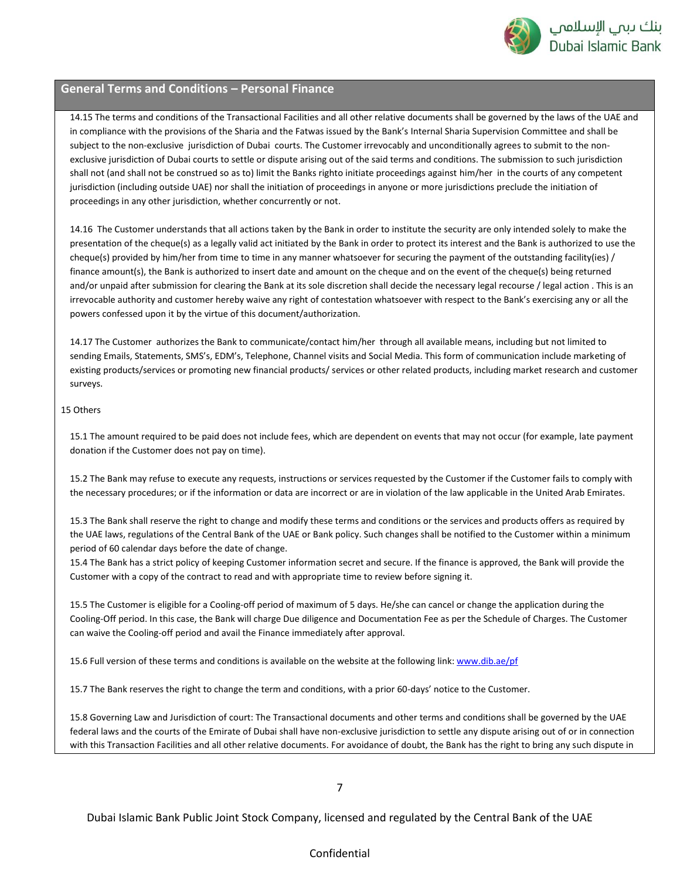

14.15 The terms and conditions of the Transactional Facilities and all other relative documents shall be governed by the laws of the UAE and in compliance with the provisions of the Sharia and the Fatwas issued by the Bank's Internal Sharia Supervision Committee and shall be subject to the non-exclusive jurisdiction of Dubai courts. The Customer irrevocably and unconditionally agrees to submit to the nonexclusive jurisdiction of Dubai courts to settle or dispute arising out of the said terms and conditions. The submission to such jurisdiction shall not (and shall not be construed so as to) limit the Banks righto initiate proceedings against him/her in the courts of any competent jurisdiction (including outside UAE) nor shall the initiation of proceedings in anyone or more jurisdictions preclude the initiation of proceedings in any other jurisdiction, whether concurrently or not.

14.16 The Customer understands that all actions taken by the Bank in order to institute the security are only intended solely to make the presentation of the cheque(s) as a legally valid act initiated by the Bank in order to protect its interest and the Bank is authorized to use the cheque(s) provided by him/her from time to time in any manner whatsoever for securing the payment of the outstanding facility(ies) / finance amount(s), the Bank is authorized to insert date and amount on the cheque and on the event of the cheque(s) being returned and/or unpaid after submission for clearing the Bank at its sole discretion shall decide the necessary legal recourse / legal action . This is an irrevocable authority and customer hereby waive any right of contestation whatsoever with respect to the Bank's exercising any or all the powers confessed upon it by the virtue of this document/authorization.

14.17 The Customer authorizes the Bank to communicate/contact him/her through all available means, including but not limited to sending Emails, Statements, SMS's, EDM's, Telephone, Channel visits and Social Media. This form of communication include marketing of existing products/services or promoting new financial products/ services or other related products, including market research and customer surveys.

#### 15 Others

15.1 The amount required to be paid does not include fees, which are dependent on events that may not occur (for example, late payment donation if the Customer does not pay on time).

15.2 The Bank may refuse to execute any requests, instructions or services requested by the Customer if the Customer fails to comply with the necessary procedures; or if the information or data are incorrect or are in violation of the law applicable in the United Arab Emirates.

15.3 The Bank shall reserve the right to change and modify these terms and conditions or the services and products offers as required by the UAE laws, regulations of the Central Bank of the UAE or Bank policy. Such changes shall be notified to the Customer within a minimum period of 60 calendar days before the date of change.

15.4 The Bank has a strict policy of keeping Customer information secret and secure. If the finance is approved, the Bank will provide the Customer with a copy of the contract to read and with appropriate time to review before signing it.

15.5 The Customer is eligible for a Cooling-off period of maximum of 5 days. He/she can cancel or change the application during the Cooling-Off period. In this case, the Bank will charge Due diligence and Documentation Fee as per the Schedule of Charges. The Customer can waive the Cooling-off period and avail the Finance immediately after approval.

15.6 Full version of these terms and conditions is available on the website at the following link: [www.dib.ae/pf](http://www.dib.ae/pf)

15.7 The Bank reserves the right to change the term and conditions, with a prior 60-days' notice to the Customer.

15.8 Governing Law and Jurisdiction of court: The Transactional documents and other terms and conditions shall be governed by the UAE federal laws and the courts of the Emirate of Dubai shall have non-exclusive jurisdiction to settle any dispute arising out of or in connection with this Transaction Facilities and all other relative documents. For avoidance of doubt, the Bank has the right to bring any such dispute in